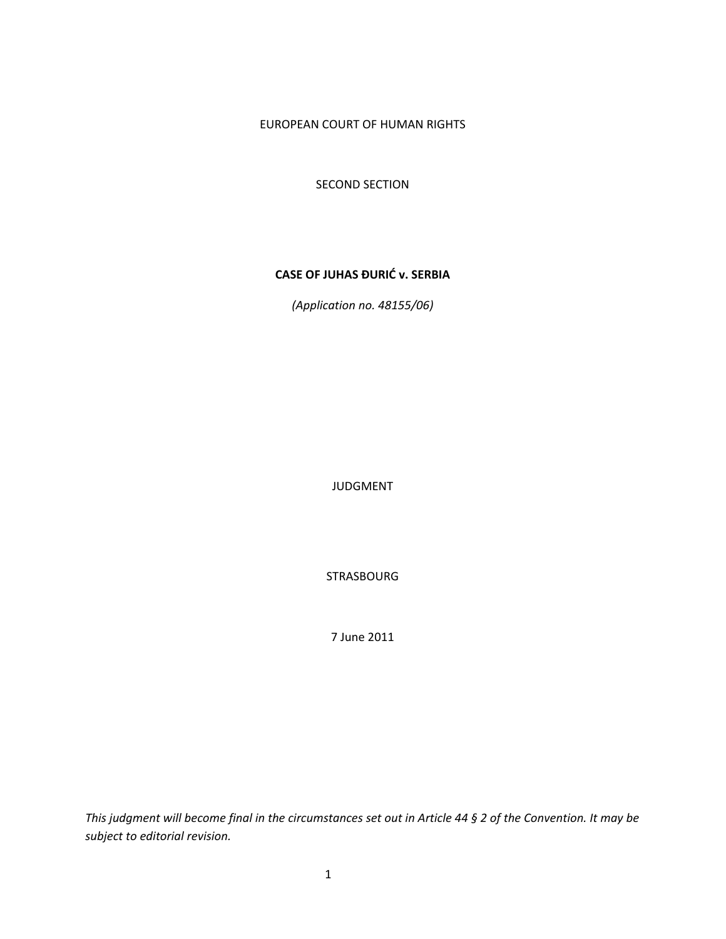## EUROPEAN COURT OF HUMAN RIGHTS

SECOND SECTION

## **CASE OF JUHAS ĐURIĆ v. SERBIA**

*(Application no. 48155/06)*

JUDGMENT

STRASBOURG

7 June 2011

This judgment will become final in the circumstances set out in Article 44 § 2 of the Convention. It may be *subject to editorial revision.*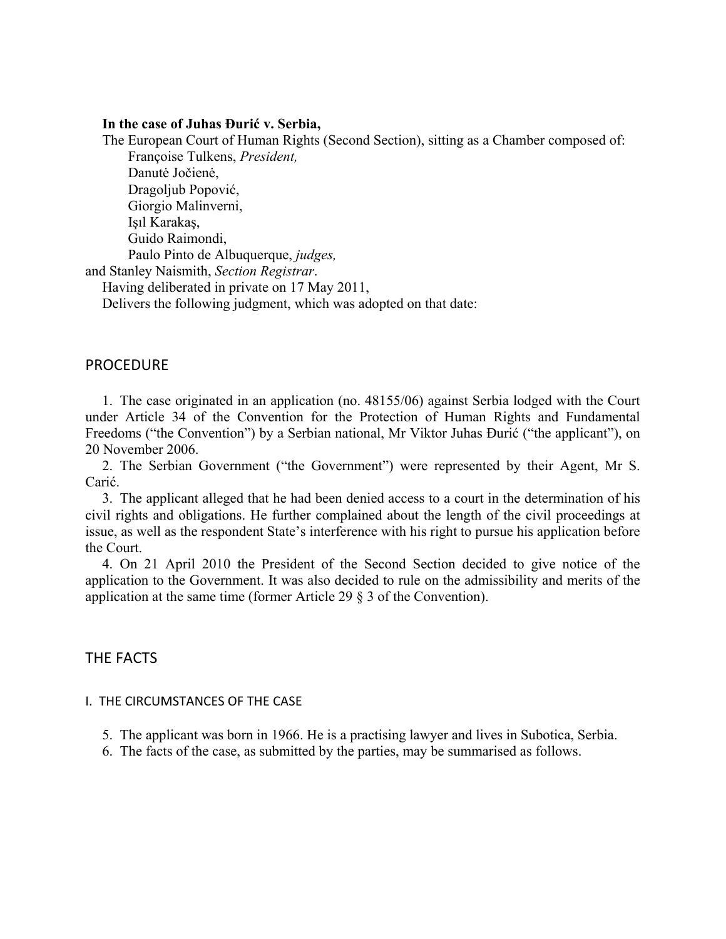### **In the case of Juhas Đurić v. Serbia,**

The European Court of Human Rights (Second Section), sitting as a Chamber composed of: Françoise Tulkens, *President,*  Danutė Jočienė, Dragoljub Popović, Giorgio Malinverni, Işıl Karakaş, Guido Raimondi, Paulo Pinto de Albuquerque, *judges,*  and Stanley Naismith, *Section Registrar*. Having deliberated in private on 17 May 2011,

Delivers the following judgment, which was adopted on that date:

## **PROCEDURE**

1. The case originated in an application (no. 48155/06) against Serbia lodged with the Court under Article 34 of the Convention for the Protection of Human Rights and Fundamental Freedoms ("the Convention") by a Serbian national, Mr Viktor Juhas Đurić ("the applicant"), on 20 November 2006.

2. The Serbian Government ("the Government") were represented by their Agent, Mr S. Carić.

3. The applicant alleged that he had been denied access to a court in the determination of his civil rights and obligations. He further complained about the length of the civil proceedings at issue, as well as the respondent State's interference with his right to pursue his application before the Court.

4. On 21 April 2010 the President of the Second Section decided to give notice of the application to the Government. It was also decided to rule on the admissibility and merits of the application at the same time (former Article 29 § 3 of the Convention).

## THE FACTS

### I. THE CIRCUMSTANCES OF THE CASE

- 5. The applicant was born in 1966. He is a practising lawyer and lives in Subotica, Serbia.
- 6. The facts of the case, as submitted by the parties, may be summarised as follows.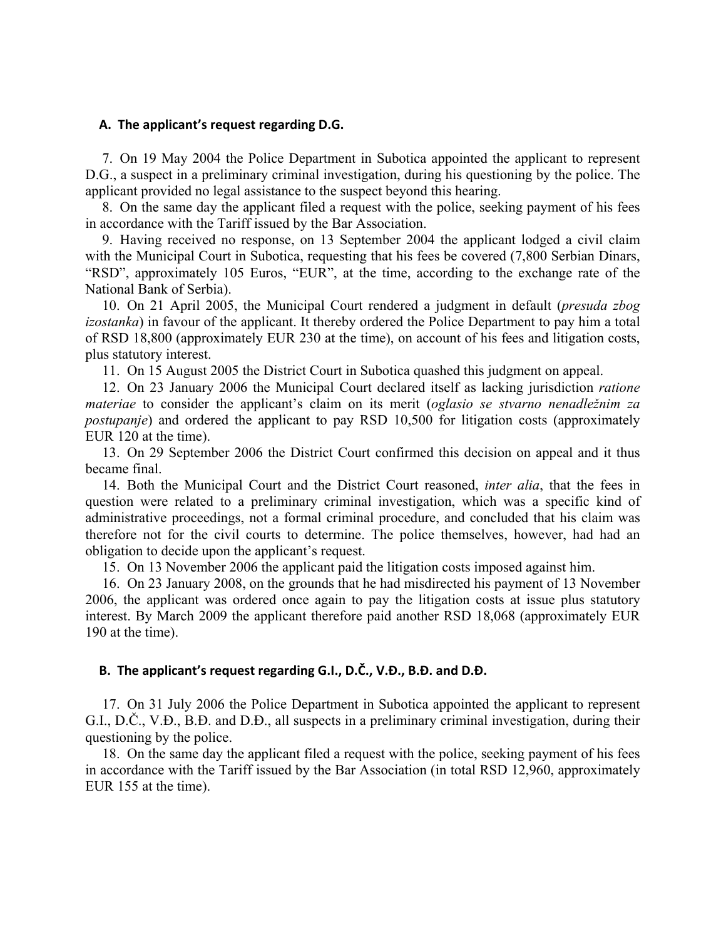### **A. The applicant's request regarding D.G.**

7. On 19 May 2004 the Police Department in Subotica appointed the applicant to represent D.G., a suspect in a preliminary criminal investigation, during his questioning by the police. The applicant provided no legal assistance to the suspect beyond this hearing.

8. On the same day the applicant filed a request with the police, seeking payment of his fees in accordance with the Tariff issued by the Bar Association.

9. Having received no response, on 13 September 2004 the applicant lodged a civil claim with the Municipal Court in Subotica, requesting that his fees be covered (7,800 Serbian Dinars, "RSD", approximately 105 Euros, "EUR", at the time, according to the exchange rate of the National Bank of Serbia).

10. On 21 April 2005, the Municipal Court rendered a judgment in default (*presuda zbog izostanka*) in favour of the applicant. It thereby ordered the Police Department to pay him a total of RSD 18,800 (approximately EUR 230 at the time), on account of his fees and litigation costs, plus statutory interest.

11. On 15 August 2005 the District Court in Subotica quashed this judgment on appeal.

12. On 23 January 2006 the Municipal Court declared itself as lacking jurisdiction *ratione materiae* to consider the applicant's claim on its merit (*oglasio se stvarno nenadležnim za postupanje*) and ordered the applicant to pay RSD 10,500 for litigation costs (approximately EUR 120 at the time).

13. On 29 September 2006 the District Court confirmed this decision on appeal and it thus became final.

14. Both the Municipal Court and the District Court reasoned, *inter alia*, that the fees in question were related to a preliminary criminal investigation, which was a specific kind of administrative proceedings, not a formal criminal procedure, and concluded that his claim was therefore not for the civil courts to determine. The police themselves, however, had had an obligation to decide upon the applicant's request.

15. On 13 November 2006 the applicant paid the litigation costs imposed against him.

16. On 23 January 2008, on the grounds that he had misdirected his payment of 13 November 2006, the applicant was ordered once again to pay the litigation costs at issue plus statutory interest. By March 2009 the applicant therefore paid another RSD 18,068 (approximately EUR 190 at the time).

### **B. The applicant's request regarding G.I., D.Č., V.Đ., B.Đ. and D.Đ.**

17. On 31 July 2006 the Police Department in Subotica appointed the applicant to represent G.I., D.Č., V.Đ., B.Đ. and D.Đ., all suspects in a preliminary criminal investigation, during their questioning by the police.

18. On the same day the applicant filed a request with the police, seeking payment of his fees in accordance with the Tariff issued by the Bar Association (in total RSD 12,960, approximately EUR 155 at the time).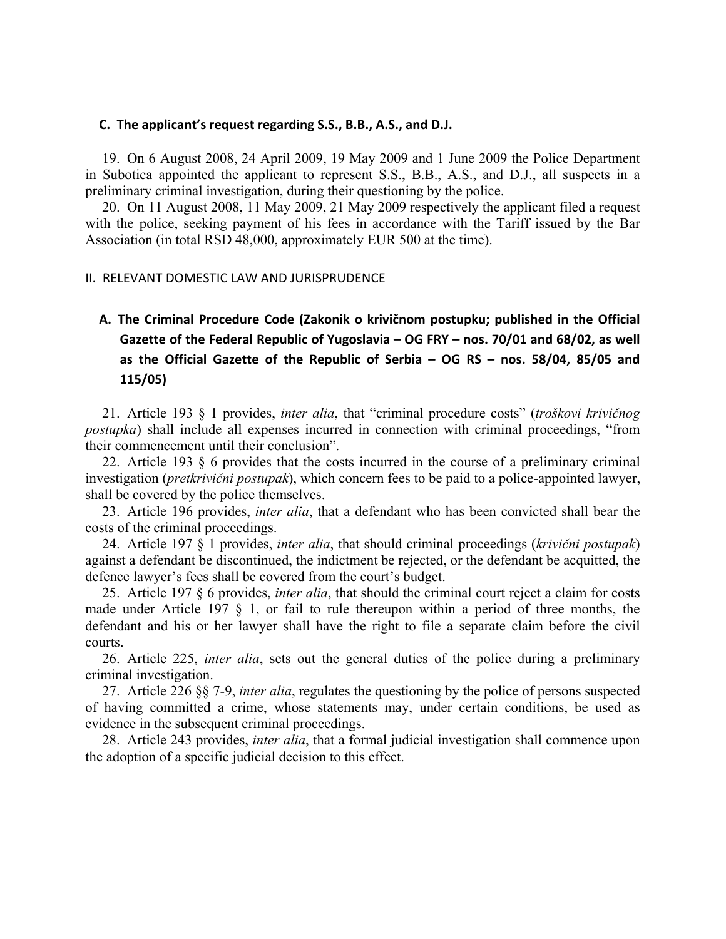### **C. The applicant's request regarding S.S., B.B., A.S., and D.J.**

19. On 6 August 2008, 24 April 2009, 19 May 2009 and 1 June 2009 the Police Department in Subotica appointed the applicant to represent S.S., B.B., A.S., and D.J., all suspects in a preliminary criminal investigation, during their questioning by the police.

20. On 11 August 2008, 11 May 2009, 21 May 2009 respectively the applicant filed a request with the police, seeking payment of his fees in accordance with the Tariff issued by the Bar Association (in total RSD 48,000, approximately EUR 500 at the time).

#### II. RELEVANT DOMESTIC LAW AND JURISPRUDENCE

**A. The Criminal Procedure Code (Zakonik o krivičnom postupku; published in the Official Gazette of the Federal Republic of Yugoslavia – OG FRY – nos. 70/01 and 68/02, as well as the Official Gazette of the Republic of Serbia – OG RS – nos. 58/04, 85/05 and 115/05)**

21. Article 193 § 1 provides, *inter alia*, that "criminal procedure costs" (*troškovi krivičnog postupka*) shall include all expenses incurred in connection with criminal proceedings, "from their commencement until their conclusion".

22. Article 193 § 6 provides that the costs incurred in the course of a preliminary criminal investigation (*pretkrivični postupak*), which concern fees to be paid to a police-appointed lawyer, shall be covered by the police themselves.

23. Article 196 provides, *inter alia*, that a defendant who has been convicted shall bear the costs of the criminal proceedings.

24. Article 197 § 1 provides, *inter alia*, that should criminal proceedings (*krivični postupak*) against a defendant be discontinued, the indictment be rejected, or the defendant be acquitted, the defence lawyer's fees shall be covered from the court's budget.

25. Article 197 § 6 provides, *inter alia*, that should the criminal court reject a claim for costs made under Article 197 § 1, or fail to rule thereupon within a period of three months, the defendant and his or her lawyer shall have the right to file a separate claim before the civil courts.

26. Article 225, *inter alia*, sets out the general duties of the police during a preliminary criminal investigation.

27. Article 226 §§ 7-9, *inter alia*, regulates the questioning by the police of persons suspected of having committed a crime, whose statements may, under certain conditions, be used as evidence in the subsequent criminal proceedings.

28. Article 243 provides, *inter alia*, that a formal judicial investigation shall commence upon the adoption of a specific judicial decision to this effect.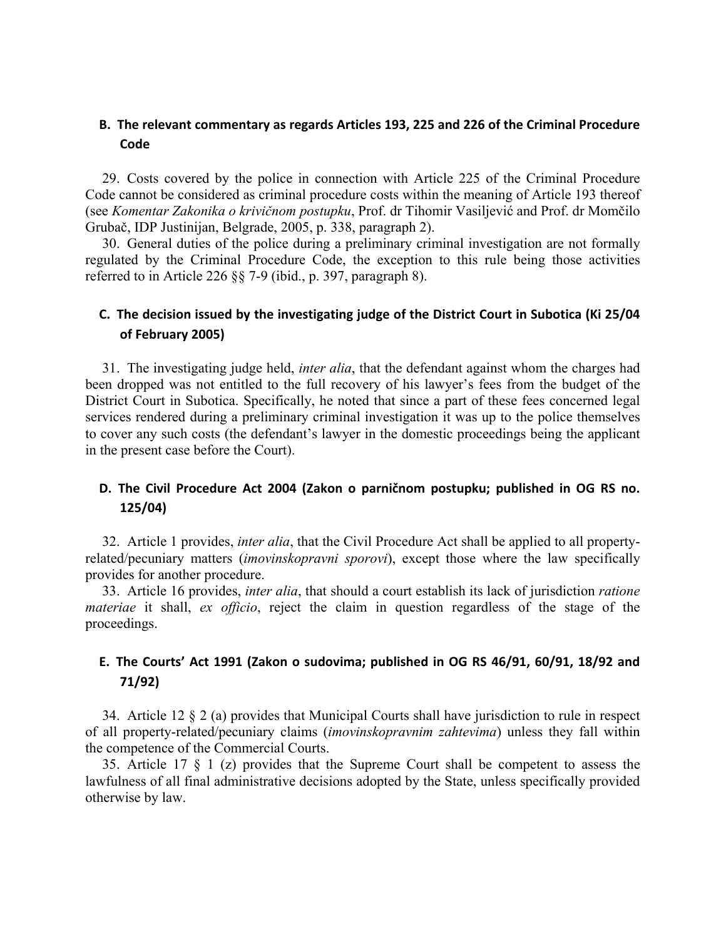# **B. The relevant commentary as regards Articles 193, 225 and 226 of the Criminal Procedure Code**

29. Costs covered by the police in connection with Article 225 of the Criminal Procedure Code cannot be considered as criminal procedure costs within the meaning of Article 193 thereof (see *Komentar Zakonika o krivičnom postupku*, Prof. dr Tihomir Vasiljević and Prof. dr Momčilo Grubač, IDP Justinijan, Belgrade, 2005, p. 338, paragraph 2).

30. General duties of the police during a preliminary criminal investigation are not formally regulated by the Criminal Procedure Code, the exception to this rule being those activities referred to in Article 226 §§ 7-9 (ibid., p. 397, paragraph 8).

# **C. The decision issued by the investigating judge of the District Court in Subotica (Ki 25/04 of February 2005)**

31. The investigating judge held, *inter alia*, that the defendant against whom the charges had been dropped was not entitled to the full recovery of his lawyer's fees from the budget of the District Court in Subotica. Specifically, he noted that since a part of these fees concerned legal services rendered during a preliminary criminal investigation it was up to the police themselves to cover any such costs (the defendant's lawyer in the domestic proceedings being the applicant in the present case before the Court).

# **D. The Civil Procedure Act 2004 (Zakon o parničnom postupku; published in OG RS no. 125/04)**

32. Article 1 provides, *inter alia*, that the Civil Procedure Act shall be applied to all propertyrelated/pecuniary matters (*imovinskopravni sporovi*), except those where the law specifically provides for another procedure.

33. Article 16 provides, *inter alia*, that should a court establish its lack of jurisdiction *ratione materiae* it shall, *ex officio*, reject the claim in question regardless of the stage of the proceedings.

# **E. The Courts' Act 1991 (Zakon o sudovima; published in OG RS 46/91, 60/91, 18/92 and 71/92)**

34. Article 12 § 2 (a) provides that Municipal Courts shall have jurisdiction to rule in respect of all property-related/pecuniary claims (*imovinskopravnim zahtevima*) unless they fall within the competence of the Commercial Courts.

35. Article 17 § 1 (z) provides that the Supreme Court shall be competent to assess the lawfulness of all final administrative decisions adopted by the State, unless specifically provided otherwise by law.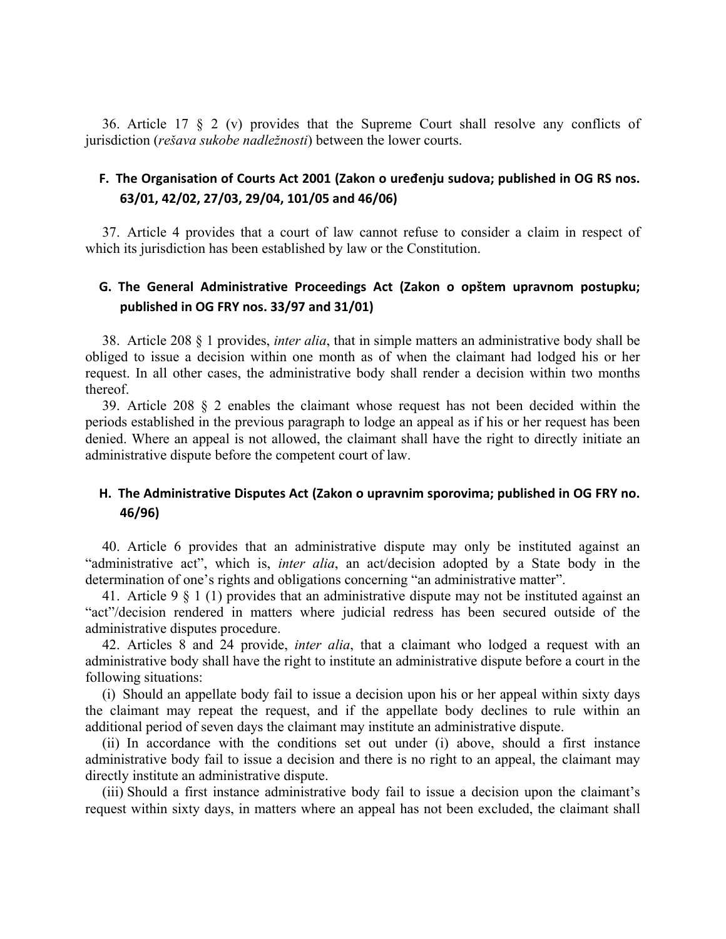36. Article 17 § 2 (v) provides that the Supreme Court shall resolve any conflicts of jurisdiction (*rešava sukobe nadležnosti*) between the lower courts.

## **F. The Organisation of Courts Act 2001 (Zakon o uređenju sudova; published in OG RS nos. 63/01, 42/02, 27/03, 29/04, 101/05 and 46/06)**

37. Article 4 provides that a court of law cannot refuse to consider a claim in respect of which its jurisdiction has been established by law or the Constitution.

# **G. The General Administrative Proceedings Act (Zakon o opštem upravnom postupku; published in OG FRY nos. 33/97 and 31/01)**

38. Article 208 § 1 provides, *inter alia*, that in simple matters an administrative body shall be obliged to issue a decision within one month as of when the claimant had lodged his or her request. In all other cases, the administrative body shall render a decision within two months thereof.

39. Article 208 § 2 enables the claimant whose request has not been decided within the periods established in the previous paragraph to lodge an appeal as if his or her request has been denied. Where an appeal is not allowed, the claimant shall have the right to directly initiate an administrative dispute before the competent court of law.

# **H. The Administrative Disputes Act (Zakon o upravnim sporovima; published in OG FRY no. 46/96)**

40. Article 6 provides that an administrative dispute may only be instituted against an "administrative act", which is, *inter alia*, an act/decision adopted by a State body in the determination of one's rights and obligations concerning "an administrative matter".

41. Article 9 § 1 (1) provides that an administrative dispute may not be instituted against an "act"/decision rendered in matters where judicial redress has been secured outside of the administrative disputes procedure.

42. Articles 8 and 24 provide, *inter alia*, that a claimant who lodged a request with an administrative body shall have the right to institute an administrative dispute before a court in the following situations:

(i) Should an appellate body fail to issue a decision upon his or her appeal within sixty days the claimant may repeat the request, and if the appellate body declines to rule within an additional period of seven days the claimant may institute an administrative dispute.

(ii) In accordance with the conditions set out under (i) above, should a first instance administrative body fail to issue a decision and there is no right to an appeal, the claimant may directly institute an administrative dispute.

(iii) Should a first instance administrative body fail to issue a decision upon the claimant's request within sixty days, in matters where an appeal has not been excluded, the claimant shall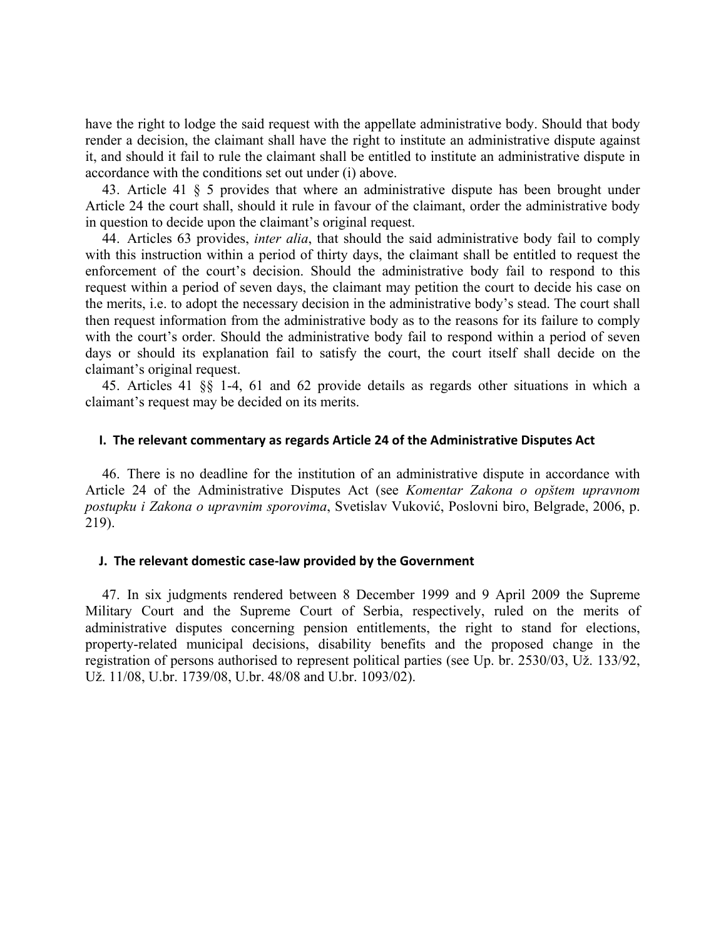have the right to lodge the said request with the appellate administrative body. Should that body render a decision, the claimant shall have the right to institute an administrative dispute against it, and should it fail to rule the claimant shall be entitled to institute an administrative dispute in accordance with the conditions set out under (i) above.

43. Article 41 § 5 provides that where an administrative dispute has been brought under Article 24 the court shall, should it rule in favour of the claimant, order the administrative body in question to decide upon the claimant's original request.

44. Articles 63 provides, *inter alia*, that should the said administrative body fail to comply with this instruction within a period of thirty days, the claimant shall be entitled to request the enforcement of the court's decision. Should the administrative body fail to respond to this request within a period of seven days, the claimant may petition the court to decide his case on the merits, i.e. to adopt the necessary decision in the administrative body's stead. The court shall then request information from the administrative body as to the reasons for its failure to comply with the court's order. Should the administrative body fail to respond within a period of seven days or should its explanation fail to satisfy the court, the court itself shall decide on the claimant's original request.

45. Articles 41 §§ 1-4, 61 and 62 provide details as regards other situations in which a claimant's request may be decided on its merits.

### **I. The relevant commentary as regards Article 24 of the Administrative Disputes Act**

46. There is no deadline for the institution of an administrative dispute in accordance with Article 24 of the Administrative Disputes Act (see *Komentar Zakona o opštem upravnom postupku i Zakona o upravnim sporovima*, Svetislav Vuković, Poslovni biro, Belgrade, 2006, p. 219).

### **J. The relevant domestic case‐law provided by the Government**

47. In six judgments rendered between 8 December 1999 and 9 April 2009 the Supreme Military Court and the Supreme Court of Serbia, respectively, ruled on the merits of administrative disputes concerning pension entitlements, the right to stand for elections, property-related municipal decisions, disability benefits and the proposed change in the registration of persons authorised to represent political parties (see Up. br. 2530/03, Už. 133/92, Už. 11/08, U.br. 1739/08, U.br. 48/08 and U.br. 1093/02).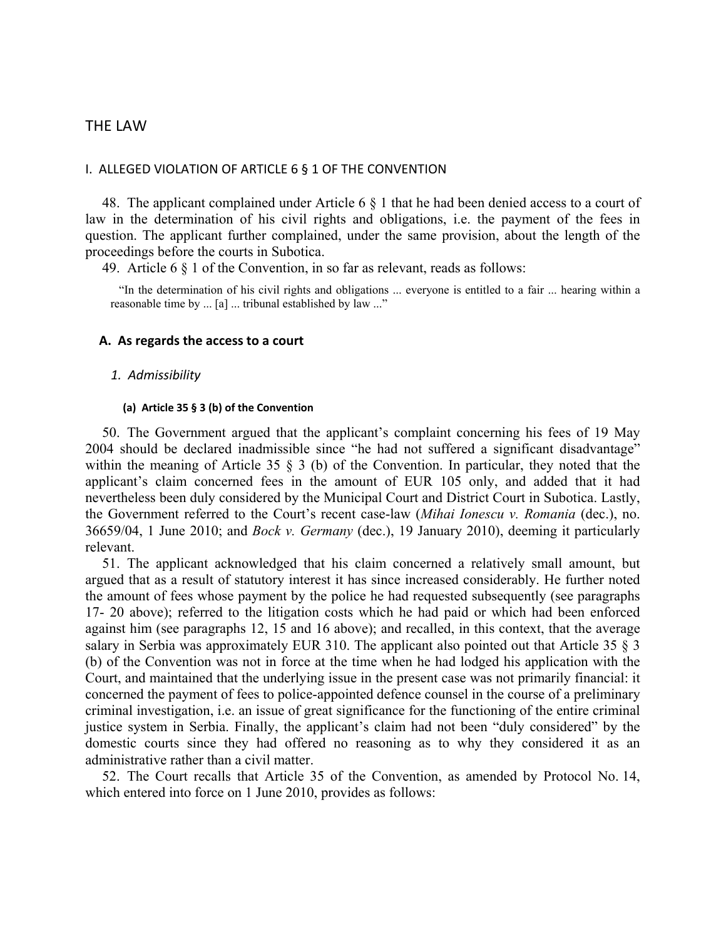## THE LAW

#### I. ALLEGED VIOLATION OF ARTICLE 6 § 1 OF THE CONVENTION

48. The applicant complained under Article 6 § 1 that he had been denied access to a court of law in the determination of his civil rights and obligations, i.e. the payment of the fees in question. The applicant further complained, under the same provision, about the length of the proceedings before the courts in Subotica.

49. Article 6 § 1 of the Convention, in so far as relevant, reads as follows:

"In the determination of his civil rights and obligations ... everyone is entitled to a fair ... hearing within a reasonable time by ... [a] ... tribunal established by law ..."

#### **A. As regards the access to a court**

#### *1. Admissibility*

#### **(a) Article 35 § 3 (b) of the Convention**

50. The Government argued that the applicant's complaint concerning his fees of 19 May 2004 should be declared inadmissible since "he had not suffered a significant disadvantage" within the meaning of Article 35  $\frac{1}{2}$  (b) of the Convention. In particular, they noted that the applicant's claim concerned fees in the amount of EUR 105 only, and added that it had nevertheless been duly considered by the Municipal Court and District Court in Subotica. Lastly, the Government referred to the Court's recent case-law (*Mihai Ionescu v. Romania* (dec.), no. 36659/04, 1 June 2010; and *Bock v. Germany* (dec.), 19 January 2010), deeming it particularly relevant.

51. The applicant acknowledged that his claim concerned a relatively small amount, but argued that as a result of statutory interest it has since increased considerably. He further noted the amount of fees whose payment by the police he had requested subsequently (see paragraphs 17- 20 above); referred to the litigation costs which he had paid or which had been enforced against him (see paragraphs 12, 15 and 16 above); and recalled, in this context, that the average salary in Serbia was approximately EUR 310. The applicant also pointed out that Article 35 § 3 (b) of the Convention was not in force at the time when he had lodged his application with the Court, and maintained that the underlying issue in the present case was not primarily financial: it concerned the payment of fees to police-appointed defence counsel in the course of a preliminary criminal investigation, i.e. an issue of great significance for the functioning of the entire criminal justice system in Serbia. Finally, the applicant's claim had not been "duly considered" by the domestic courts since they had offered no reasoning as to why they considered it as an administrative rather than a civil matter.

52. The Court recalls that Article 35 of the Convention, as amended by Protocol No. 14, which entered into force on 1 June 2010, provides as follows: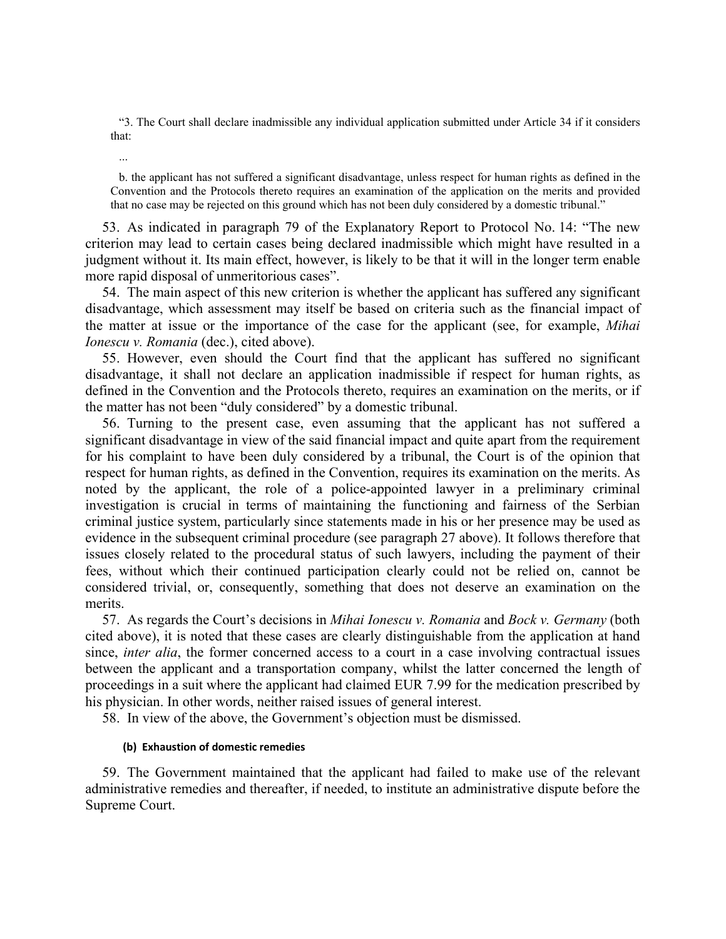"3. The Court shall declare inadmissible any individual application submitted under Article 34 if it considers that:

...

b. the applicant has not suffered a significant disadvantage, unless respect for human rights as defined in the Convention and the Protocols thereto requires an examination of the application on the merits and provided that no case may be rejected on this ground which has not been duly considered by a domestic tribunal."

53. As indicated in paragraph 79 of the Explanatory Report to Protocol No. 14: "The new criterion may lead to certain cases being declared inadmissible which might have resulted in a judgment without it. Its main effect, however, is likely to be that it will in the longer term enable more rapid disposal of unmeritorious cases".

54. The main aspect of this new criterion is whether the applicant has suffered any significant disadvantage, which assessment may itself be based on criteria such as the financial impact of the matter at issue or the importance of the case for the applicant (see, for example, *Mihai Ionescu v. Romania* (dec.), cited above).

55. However, even should the Court find that the applicant has suffered no significant disadvantage, it shall not declare an application inadmissible if respect for human rights, as defined in the Convention and the Protocols thereto, requires an examination on the merits, or if the matter has not been "duly considered" by a domestic tribunal.

56. Turning to the present case, even assuming that the applicant has not suffered a significant disadvantage in view of the said financial impact and quite apart from the requirement for his complaint to have been duly considered by a tribunal, the Court is of the opinion that respect for human rights, as defined in the Convention, requires its examination on the merits. As noted by the applicant, the role of a police-appointed lawyer in a preliminary criminal investigation is crucial in terms of maintaining the functioning and fairness of the Serbian criminal justice system, particularly since statements made in his or her presence may be used as evidence in the subsequent criminal procedure (see paragraph 27 above). It follows therefore that issues closely related to the procedural status of such lawyers, including the payment of their fees, without which their continued participation clearly could not be relied on, cannot be considered trivial, or, consequently, something that does not deserve an examination on the merits.

57. As regards the Court's decisions in *Mihai Ionescu v. Romania* and *Bock v. Germany* (both cited above), it is noted that these cases are clearly distinguishable from the application at hand since, *inter alia*, the former concerned access to a court in a case involving contractual issues between the applicant and a transportation company, whilst the latter concerned the length of proceedings in a suit where the applicant had claimed EUR 7.99 for the medication prescribed by his physician. In other words, neither raised issues of general interest.

58. In view of the above, the Government's objection must be dismissed.

### **(b) Exhaustion of domestic remedies**

59. The Government maintained that the applicant had failed to make use of the relevant administrative remedies and thereafter, if needed, to institute an administrative dispute before the Supreme Court.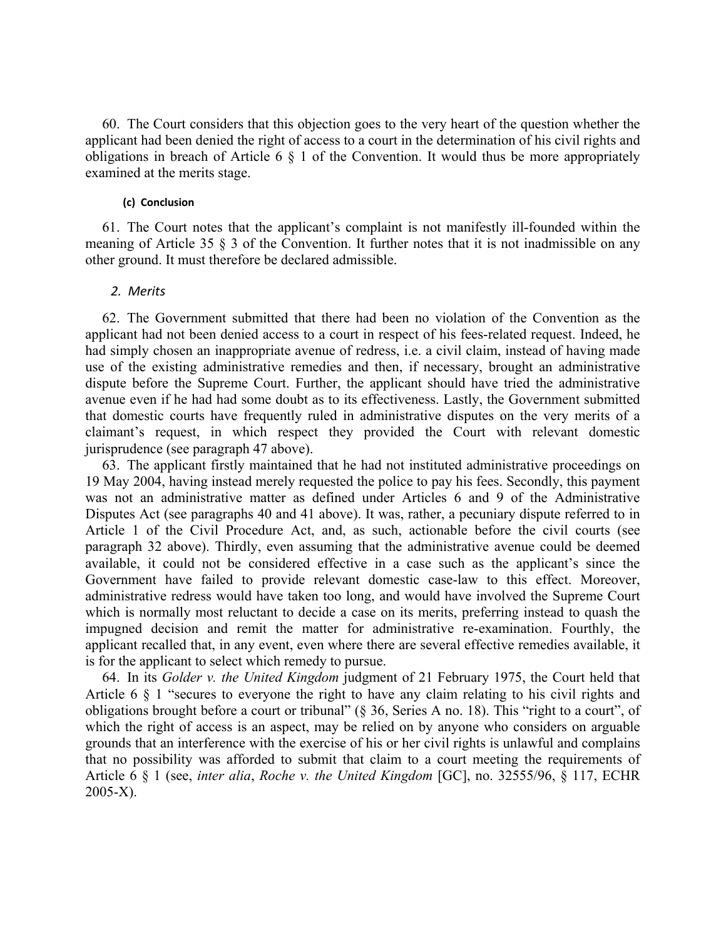60. The Court considers that this objection goes to the very heart of the question whether the applicant had been denied the right of access to a court in the determination of his civil rights and obligations in breach of Article 6 § 1 of the Convention. It would thus be more appropriately examined at the merits stage.

#### **(c) Conclusion**

61. The Court notes that the applicant's complaint is not manifestly ill-founded within the meaning of Article 35 § 3 of the Convention. It further notes that it is not inadmissible on any other ground. It must therefore be declared admissible.

#### *2. Merits*

62. The Government submitted that there had been no violation of the Convention as the applicant had not been denied access to a court in respect of his fees-related request. Indeed, he had simply chosen an inappropriate avenue of redress, i.e. a civil claim, instead of having made use of the existing administrative remedies and then, if necessary, brought an administrative dispute before the Supreme Court. Further, the applicant should have tried the administrative avenue even if he had had some doubt as to its effectiveness. Lastly, the Government submitted that domestic courts have frequently ruled in administrative disputes on the very merits of a claimant's request, in which respect they provided the Court with relevant domestic jurisprudence (see paragraph 47 above).

63. The applicant firstly maintained that he had not instituted administrative proceedings on 19 May 2004, having instead merely requested the police to pay his fees. Secondly, this payment was not an administrative matter as defined under Articles 6 and 9 of the Administrative Disputes Act (see paragraphs 40 and 41 above). It was, rather, a pecuniary dispute referred to in Article 1 of the Civil Procedure Act, and, as such, actionable before the civil courts (see paragraph 32 above). Thirdly, even assuming that the administrative avenue could be deemed available, it could not be considered effective in a case such as the applicant's since the Government have failed to provide relevant domestic case-law to this effect. Moreover, administrative redress would have taken too long, and would have involved the Supreme Court which is normally most reluctant to decide a case on its merits, preferring instead to quash the impugned decision and remit the matter for administrative re-examination. Fourthly, the applicant recalled that, in any event, even where there are several effective remedies available, it is for the applicant to select which remedy to pursue.

64. In its *Golder v. the United Kingdom* judgment of 21 February 1975, the Court held that Article 6 § 1 "secures to everyone the right to have any claim relating to his civil rights and obligations brought before a court or tribunal" (§ 36, Series A no. 18). This "right to a court", of which the right of access is an aspect, may be relied on by anyone who considers on arguable grounds that an interference with the exercise of his or her civil rights is unlawful and complains that no possibility was afforded to submit that claim to a court meeting the requirements of Article 6 § 1 (see, *inter alia*, *Roche v. the United Kingdom* [GC], no. 32555/96, § 117, ECHR 2005-X).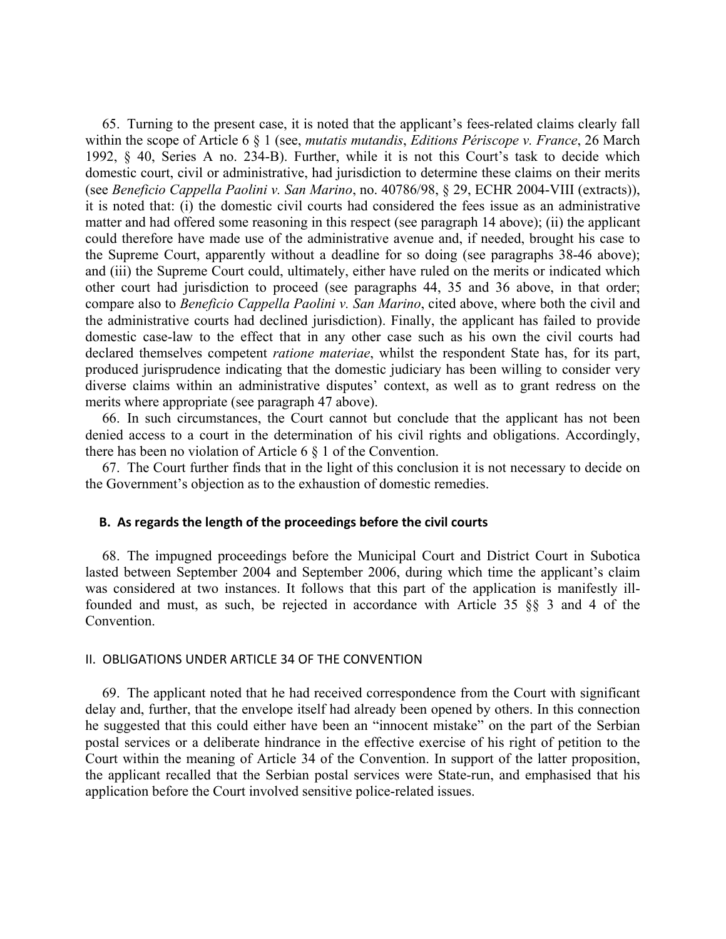65. Turning to the present case, it is noted that the applicant's fees-related claims clearly fall within the scope of Article 6 § 1 (see, *mutatis mutandis*, *Editions Périscope v. France*, 26 March 1992, § 40, Series A no. 234-B). Further, while it is not this Court's task to decide which domestic court, civil or administrative, had jurisdiction to determine these claims on their merits (see *Beneficio Cappella Paolini v. San Marino*, no. 40786/98, § 29, ECHR 2004-VIII (extracts)), it is noted that: (i) the domestic civil courts had considered the fees issue as an administrative matter and had offered some reasoning in this respect (see paragraph 14 above); (ii) the applicant could therefore have made use of the administrative avenue and, if needed, brought his case to the Supreme Court, apparently without a deadline for so doing (see paragraphs 38-46 above); and (iii) the Supreme Court could, ultimately, either have ruled on the merits or indicated which other court had jurisdiction to proceed (see paragraphs 44, 35 and 36 above, in that order; compare also to *Beneficio Cappella Paolini v. San Marino*, cited above, where both the civil and the administrative courts had declined jurisdiction). Finally, the applicant has failed to provide domestic case-law to the effect that in any other case such as his own the civil courts had declared themselves competent *ratione materiae*, whilst the respondent State has, for its part, produced jurisprudence indicating that the domestic judiciary has been willing to consider very diverse claims within an administrative disputes' context, as well as to grant redress on the merits where appropriate (see paragraph 47 above).

66. In such circumstances, the Court cannot but conclude that the applicant has not been denied access to a court in the determination of his civil rights and obligations. Accordingly, there has been no violation of Article 6 § 1 of the Convention.

67. The Court further finds that in the light of this conclusion it is not necessary to decide on the Government's objection as to the exhaustion of domestic remedies.

### **B. As regards the length of the proceedings before the civil courts**

68. The impugned proceedings before the Municipal Court and District Court in Subotica lasted between September 2004 and September 2006, during which time the applicant's claim was considered at two instances. It follows that this part of the application is manifestly illfounded and must, as such, be rejected in accordance with Article 35 §§ 3 and 4 of the Convention.

#### II. OBLIGATIONS UNDER ARTICLE 34 OF THE CONVENTION

69. The applicant noted that he had received correspondence from the Court with significant delay and, further, that the envelope itself had already been opened by others. In this connection he suggested that this could either have been an "innocent mistake" on the part of the Serbian postal services or a deliberate hindrance in the effective exercise of his right of petition to the Court within the meaning of Article 34 of the Convention. In support of the latter proposition, the applicant recalled that the Serbian postal services were State-run, and emphasised that his application before the Court involved sensitive police-related issues.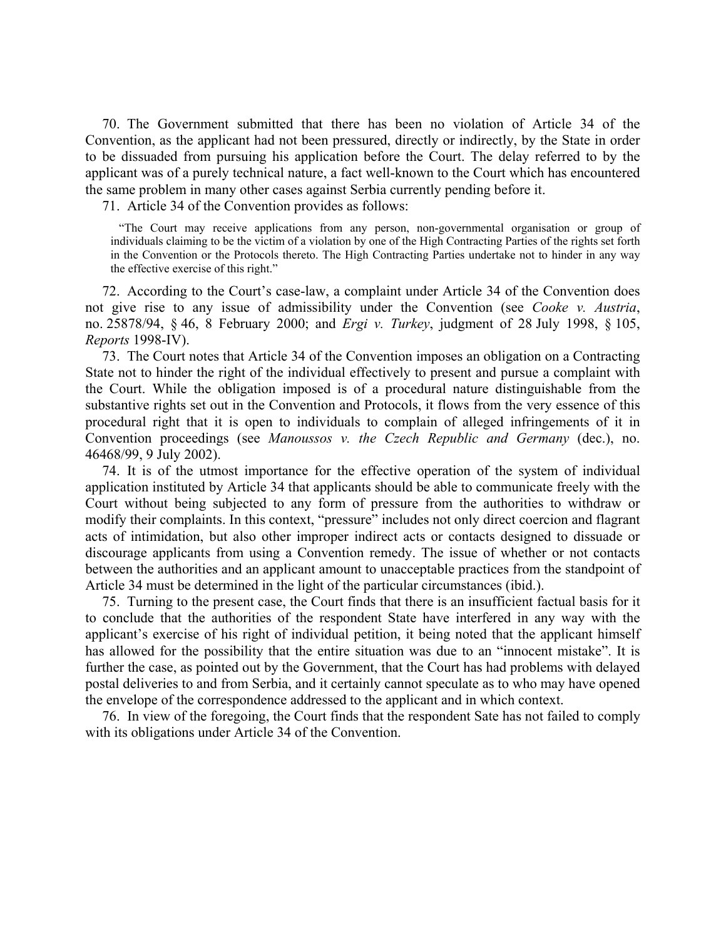70. The Government submitted that there has been no violation of Article 34 of the Convention, as the applicant had not been pressured, directly or indirectly, by the State in order to be dissuaded from pursuing his application before the Court. The delay referred to by the applicant was of a purely technical nature, a fact well-known to the Court which has encountered the same problem in many other cases against Serbia currently pending before it.

71. Article 34 of the Convention provides as follows:

"The Court may receive applications from any person, non-governmental organisation or group of individuals claiming to be the victim of a violation by one of the High Contracting Parties of the rights set forth in the Convention or the Protocols thereto. The High Contracting Parties undertake not to hinder in any way the effective exercise of this right."

72. According to the Court's case-law, a complaint under Article 34 of the Convention does not give rise to any issue of admissibility under the Convention (see *Cooke v. Austria*, no. 25878/94, § 46, 8 February 2000; and *Ergi v. Turkey*, judgment of 28 July 1998, § 105, *Reports* 1998-IV).

73. The Court notes that Article 34 of the Convention imposes an obligation on a Contracting State not to hinder the right of the individual effectively to present and pursue a complaint with the Court. While the obligation imposed is of a procedural nature distinguishable from the substantive rights set out in the Convention and Protocols, it flows from the very essence of this procedural right that it is open to individuals to complain of alleged infringements of it in Convention proceedings (see *Manoussos v. the Czech Republic and Germany* (dec.), no. 46468/99, 9 July 2002).

74. It is of the utmost importance for the effective operation of the system of individual application instituted by Article 34 that applicants should be able to communicate freely with the Court without being subjected to any form of pressure from the authorities to withdraw or modify their complaints. In this context, "pressure" includes not only direct coercion and flagrant acts of intimidation, but also other improper indirect acts or contacts designed to dissuade or discourage applicants from using a Convention remedy. The issue of whether or not contacts between the authorities and an applicant amount to unacceptable practices from the standpoint of Article 34 must be determined in the light of the particular circumstances (ibid.).

75. Turning to the present case, the Court finds that there is an insufficient factual basis for it to conclude that the authorities of the respondent State have interfered in any way with the applicant's exercise of his right of individual petition, it being noted that the applicant himself has allowed for the possibility that the entire situation was due to an "innocent mistake". It is further the case, as pointed out by the Government, that the Court has had problems with delayed postal deliveries to and from Serbia, and it certainly cannot speculate as to who may have opened the envelope of the correspondence addressed to the applicant and in which context.

76. In view of the foregoing, the Court finds that the respondent Sate has not failed to comply with its obligations under Article 34 of the Convention.